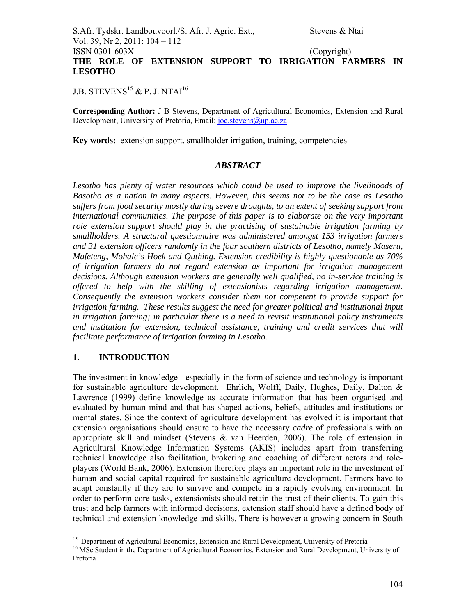## S.Afr. Tydskr. Landbouvoorl./S. Afr. J. Agric. Ext., Stevens & Ntai Vol. 39, Nr 2, 2011: 104 – 112 ISSN 0301-603X (Copyright) **THE ROLE OF EXTENSION SUPPORT TO IRRIGATION FARMERS IN LESOTHO**

J.B. STEVENS<sup>15</sup> & P. J. NTAI<sup>16</sup>

**Corresponding Author:** J B Stevens, Department of Agricultural Economics, Extension and Rural Development, University of Pretoria, Email: joe.stevens@up.ac.za

**Key words:** extension support, smallholder irrigation, training, competencies

### *ABSTRACT*

*Lesotho has plenty of water resources which could be used to improve the livelihoods of Basotho as a nation in many aspects. However, this seems not to be the case as Lesotho suffers from food security mostly during severe droughts, to an extent of seeking support from international communities. The purpose of this paper is to elaborate on the very important role extension support should play in the practising of sustainable irrigation farming by smallholders. A structural questionnaire was administered amongst 153 irrigation farmers and 31 extension officers randomly in the four southern districts of Lesotho, namely Maseru, Mafeteng, Mohale's Hoek and Quthing. Extension credibility is highly questionable as 70% of irrigation farmers do not regard extension as important for irrigation management decisions. Although extension workers are generally well qualified, no in-service training is offered to help with the skilling of extensionists regarding irrigation management. Consequently the extension workers consider them not competent to provide support for irrigation farming. These results suggest the need for greater political and institutional input in irrigation farming; in particular there is a need to revisit institutional policy instruments and institution for extension, technical assistance, training and credit services that will facilitate performance of irrigation farming in Lesotho.* 

## **1. INTRODUCTION**

The investment in knowledge - especially in the form of science and technology is important for sustainable agriculture development. Ehrlich, Wolff, Daily, Hughes, Daily, Dalton & Lawrence (1999) define knowledge as accurate information that has been organised and evaluated by human mind and that has shaped actions, beliefs, attitudes and institutions or mental states. Since the context of agriculture development has evolved it is important that extension organisations should ensure to have the necessary *cadre* of professionals with an appropriate skill and mindset (Stevens  $\&$  van Heerden, 2006). The role of extension in Agricultural Knowledge Information Systems (AKIS) includes apart from transferring technical knowledge also facilitation, brokering and coaching of different actors and roleplayers (World Bank, 2006). Extension therefore plays an important role in the investment of human and social capital required for sustainable agriculture development. Farmers have to adapt constantly if they are to survive and compete in a rapidly evolving environment. In order to perform core tasks, extensionists should retain the trust of their clients. To gain this trust and help farmers with informed decisions, extension staff should have a defined body of technical and extension knowledge and skills. There is however a growing concern in South

<sup>-</sup><sup>15</sup> Department of Agricultural Economics, Extension and Rural Development, University of Pretoria

<sup>&</sup>lt;sup>16</sup> MSc Student in the Department of Agricultural Economics, Extension and Rural Development, University of Pretoria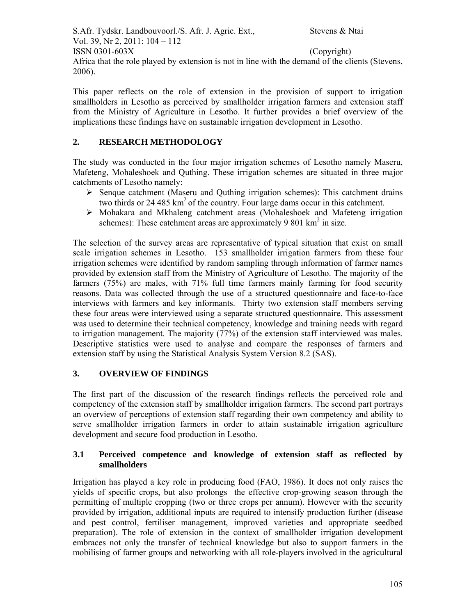S.Afr. Tydskr. Landbouvoorl./S. Afr. J. Agric. Ext., Stevens & Ntai Vol. 39, Nr 2, 2011: 104 – 112  $\text{ISSN } 0301 - 603X$  (Copyright) Africa that the role played by extension is not in line with the demand of the clients (Stevens, 2006).

This paper reflects on the role of extension in the provision of support to irrigation smallholders in Lesotho as perceived by smallholder irrigation farmers and extension staff from the Ministry of Agriculture in Lesotho. It further provides a brief overview of the implications these findings have on sustainable irrigation development in Lesotho.

# **2. RESEARCH METHODOLOGY**

The study was conducted in the four major irrigation schemes of Lesotho namely Maseru, Mafeteng, Mohaleshoek and Quthing. These irrigation schemes are situated in three major catchments of Lesotho namely:

- $\triangleright$  Senque catchment (Maseru and Outhing irrigation schemes): This catchment drains two thirds or 24 485 km<sup>2</sup> of the country. Four large dams occur in this catchment.
- $\triangleright$  Mohakara and Mkhaleng catchment areas (Mohaleshoek and Mafeteng irrigation schemes): These catchment areas are approximately 9 801  $\text{km}^2$  in size.

The selection of the survey areas are representative of typical situation that exist on small scale irrigation schemes in Lesotho. 153 smallholder irrigation farmers from these four irrigation schemes were identified by random sampling through information of farmer names provided by extension staff from the Ministry of Agriculture of Lesotho. The majority of the farmers (75%) are males, with 71% full time farmers mainly farming for food security reasons. Data was collected through the use of a structured questionnaire and face-to-face interviews with farmers and key informants. Thirty two extension staff members serving these four areas were interviewed using a separate structured questionnaire. This assessment was used to determine their technical competency, knowledge and training needs with regard to irrigation management. The majority (77%) of the extension staff interviewed was males. Descriptive statistics were used to analyse and compare the responses of farmers and extension staff by using the Statistical Analysis System Version 8.2 (SAS).

## **3. OVERVIEW OF FINDINGS**

The first part of the discussion of the research findings reflects the perceived role and competency of the extension staff by smallholder irrigation farmers. The second part portrays an overview of perceptions of extension staff regarding their own competency and ability to serve smallholder irrigation farmers in order to attain sustainable irrigation agriculture development and secure food production in Lesotho.

## **3.1 Perceived competence and knowledge of extension staff as reflected by smallholders**

Irrigation has played a key role in producing food (FAO, 1986). It does not only raises the yields of specific crops, but also prolongs the effective crop-growing season through the permitting of multiple cropping (two or three crops per annum). However with the security provided by irrigation, additional inputs are required to intensify production further (disease and pest control, fertiliser management, improved varieties and appropriate seedbed preparation). The role of extension in the context of smallholder irrigation development embraces not only the transfer of technical knowledge but also to support farmers in the mobilising of farmer groups and networking with all role-players involved in the agricultural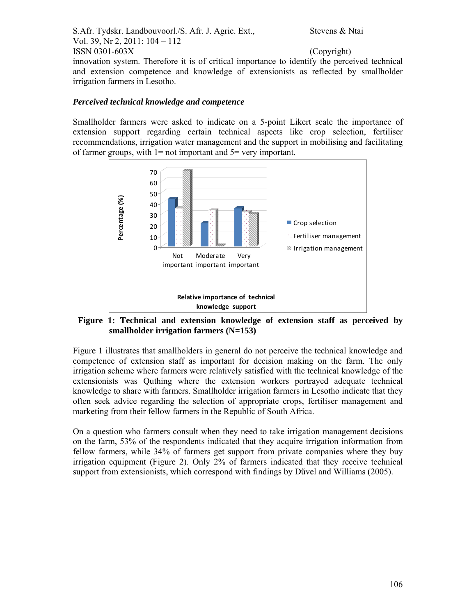S.Afr. Tydskr. Landbouvoorl./S. Afr. J. Agric. Ext., Stevens & Ntai Vol. 39, Nr 2, 2011: 104 – 112  $\text{ISSN } 0301 - 603X$  (Copyright) innovation system. Therefore it is of critical importance to identify the perceived technical and extension competence and knowledge of extensionists as reflected by smallholder irrigation farmers in Lesotho.

### *Perceived technical knowledge and competence*

Smallholder farmers were asked to indicate on a 5-point Likert scale the importance of extension support regarding certain technical aspects like crop selection, fertiliser recommendations, irrigation water management and the support in mobilising and facilitating of farmer groups, with  $l = not$  important and  $5 = very$  important.



**Figure 1: Technical and extension knowledge of extension staff as perceived by smallholder irrigation farmers (N=153)**

Figure 1 illustrates that smallholders in general do not perceive the technical knowledge and competence of extension staff as important for decision making on the farm. The only irrigation scheme where farmers were relatively satisfied with the technical knowledge of the extensionists was Quthing where the extension workers portrayed adequate technical knowledge to share with farmers. Smallholder irrigation farmers in Lesotho indicate that they often seek advice regarding the selection of appropriate crops, fertiliser management and marketing from their fellow farmers in the Republic of South Africa.

On a question who farmers consult when they need to take irrigation management decisions on the farm, 53% of the respondents indicated that they acquire irrigation information from fellow farmers, while 34% of farmers get support from private companies where they buy irrigation equipment (Figure 2). Only 2% of farmers indicated that they receive technical support from extensionists, which correspond with findings by Dűvel and Williams (2005).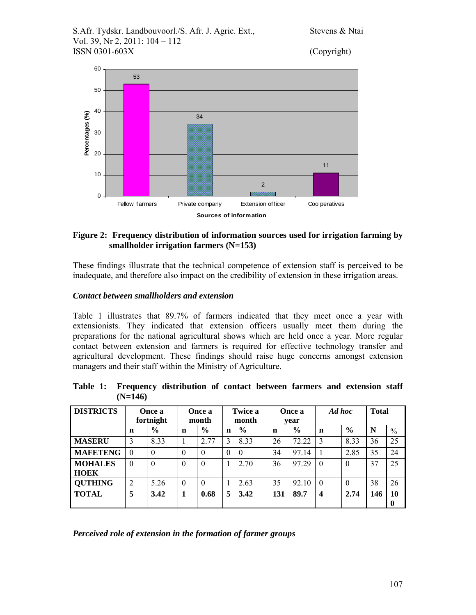S.Afr. Tydskr. Landbouvoorl./S. Afr. J. Agric. Ext., Stevens & Ntai Vol. 39, Nr 2, 2011: 104 – 112 ISSN 0301-603X (Copyright)



## **Figure 2: Frequency distribution of information sources used for irrigation farming by smallholder irrigation farmers (N=153)**

These findings illustrate that the technical competence of extension staff is perceived to be inadequate, and therefore also impact on the credibility of extension in these irrigation areas.

# *Contact between smallholders and extension*

Table 1 illustrates that 89.7% of farmers indicated that they meet once a year with extensionists. They indicated that extension officers usually meet them during the preparations for the national agricultural shows which are held once a year. More regular contact between extension and farmers is required for effective technology transfer and agricultural development. These findings should raise huge concerns amongst extension managers and their staff within the Ministry of Agriculture.

## **Table 1: Frequency distribution of contact between farmers and extension staff (N=146)**

| <b>DISTRICTS</b>              | Once a<br>fortnight |               | Once a<br>month |               | <b>Twice a</b><br>month |               | Once a<br>vear |               | Ad hoc   |               | <b>Total</b> |                |
|-------------------------------|---------------------|---------------|-----------------|---------------|-------------------------|---------------|----------------|---------------|----------|---------------|--------------|----------------|
|                               | n                   | $\frac{6}{6}$ | $\mathbf n$     | $\frac{6}{6}$ | $\mathbf n$             | $\frac{0}{0}$ | n              | $\frac{0}{0}$ | n        | $\frac{0}{0}$ | N            | $\frac{0}{0}$  |
| <b>MASERU</b>                 | 3                   | 8.33          | 1               | 2.77          | 3                       | 8.33          | 26             | 72.22         | 3        | 8.33          | 36           | 25             |
| <b>MAFETENG</b>               | $\Omega$            | $\theta$      | $\theta$        | $\Omega$      | $\theta$                | $\theta$      | 34             | 97.14         |          | 2.85          | 35           | 24             |
| <b>MOHALES</b><br><b>HOEK</b> | $\Omega$            | $\theta$      | $\theta$        | $\theta$      |                         | 2.70          | 36             | 97.29         | $\theta$ | $\theta$      | 37           | 25             |
| <b>QUTHING</b>                | $\overline{2}$      | 5.26          | $\Omega$        | $\Omega$      |                         | 2.63          | 35             | 92.10         | $\theta$ | $\theta$      | 38           | 26             |
| <b>TOTAL</b>                  | 5                   | 3.42          | 1               | 0.68          | 5                       | 3.42          | 131            | 89.7          | 4        | 2.74          | 146          | 10<br>$\bf{0}$ |

*Perceived role of extension in the formation of farmer groups*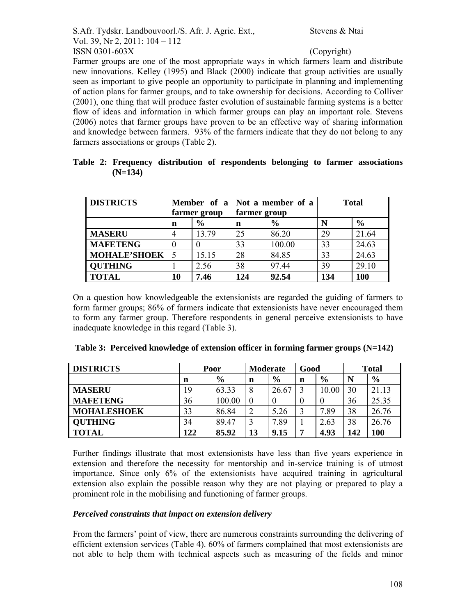Farmer groups are one of the most appropriate ways in which farmers learn and distribute new innovations. Kelley (1995) and Black (2000) indicate that group activities are usually seen as important to give people an opportunity to participate in planning and implementing of action plans for farmer groups, and to take ownership for decisions. According to Colliver (2001), one thing that will produce faster evolution of sustainable farming systems is a better flow of ideas and information in which farmer groups can play an important role. Stevens (2006) notes that farmer groups have proven to be an effective way of sharing information and knowledge between farmers. 93% of the farmers indicate that they do not belong to any farmers associations or groups (Table 2).

|  |           |  | Table 2: Frequency distribution of respondents belonging to farmer associations |  |  |
|--|-----------|--|---------------------------------------------------------------------------------|--|--|
|  | $(N=134)$ |  |                                                                                 |  |  |

| <b>DISTRICTS</b>    | Member of a  |               |              | Not a member of a | <b>Total</b> |               |
|---------------------|--------------|---------------|--------------|-------------------|--------------|---------------|
|                     | farmer group |               | farmer group |                   |              |               |
|                     | n            | $\frac{6}{9}$ | n            | $\frac{6}{6}$     | N            | $\frac{6}{6}$ |
| <b>MASERU</b>       | 4            | 13.79         | 25           | 86.20             | 29           | 21.64         |
| <b>MAFETENG</b>     |              |               | 33           | 100.00            | 33           | 24.63         |
| <b>MOHALE'SHOEK</b> |              | 15.15         | 28           | 84.85             | 33           | 24.63         |
| <b>QUTHING</b>      |              | 2.56          | 38           | 97.44             | 39           | 29.10         |
| <b>TOTAL</b>        | 10           | 7.46          | 124          | 92.54             | 134          | 100           |

On a question how knowledgeable the extensionists are regarded the guiding of farmers to form farmer groups; 86% of farmers indicate that extensionists have never encouraged them to form any farmer group. Therefore respondents in general perceive extensionists to have inadequate knowledge in this regard (Table 3).

|  | Table 3: Perceived knowledge of extension officer in forming farmer groups (N=142) |  |  |  |
|--|------------------------------------------------------------------------------------|--|--|--|
|  |                                                                                    |  |  |  |

| <b>DISTRICTS</b>   | Poor |               | <b>Moderate</b> |               | Good |               | <b>Total</b> |               |
|--------------------|------|---------------|-----------------|---------------|------|---------------|--------------|---------------|
|                    | n    | $\frac{6}{9}$ | n               | $\frac{6}{9}$ | n    | $\frac{6}{9}$ | N            | $\frac{6}{6}$ |
| <b>MASERU</b>      | 19   | 63.33         | 8               | 26.67         |      | 10.00         | 30           | 21.13         |
| <b>MAFETENG</b>    | 36   | 100.00        |                 | 0             | 0    |               | 36           | 25.35         |
| <b>MOHALESHOEK</b> | 33   | 86.84         | $\overline{2}$  | 5.26          |      | 7.89          | 38           | 26.76         |
| <b>OUTHING</b>     | 34   | 89.47         | $\mathbf 3$     | 7.89          |      | 2.63          | 38           | 26.76         |
| <b>TOTAL</b>       | 122  | 85.92         | 13              | 9.15          | 7    | 4.93          | 142          | 100           |

Further findings illustrate that most extensionists have less than five years experience in extension and therefore the necessity for mentorship and in-service training is of utmost importance. Since only 6% of the extensionists have acquired training in agricultural extension also explain the possible reason why they are not playing or prepared to play a prominent role in the mobilising and functioning of farmer groups.

# *Perceived constraints that impact on extension delivery*

From the farmers' point of view, there are numerous constraints surrounding the delivering of efficient extension services (Table 4). 60% of farmers complained that most extensionists are not able to help them with technical aspects such as measuring of the fields and minor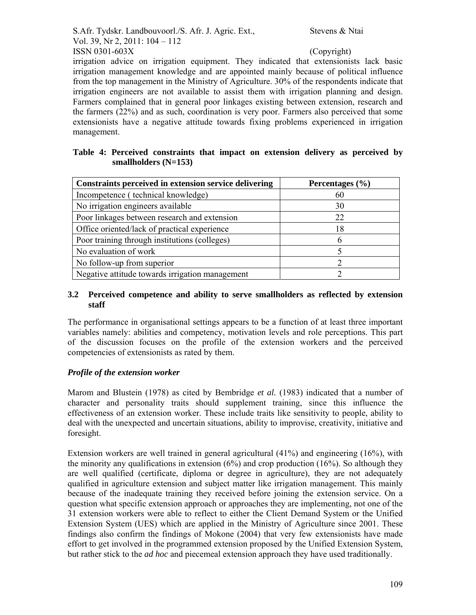S.Afr. Tydskr. Landbouvoorl./S. Afr. J. Agric. Ext., Stevens & Ntai Vol. 39, Nr 2, 2011: 104 – 112  $\text{ISSN } 0301 - 603X$  (Copyright)

irrigation advice on irrigation equipment. They indicated that extensionists lack basic irrigation management knowledge and are appointed mainly because of political influence from the top management in the Ministry of Agriculture. 30% of the respondents indicate that irrigation engineers are not available to assist them with irrigation planning and design. Farmers complained that in general poor linkages existing between extension, research and the farmers (22%) and as such, coordination is very poor. Farmers also perceived that some extensionists have a negative attitude towards fixing problems experienced in irrigation management.

### **Table 4: Perceived constraints that impact on extension delivery as perceived by smallholders (N=153)**

| Constraints perceived in extension service delivering | Percentages $(\% )$ |
|-------------------------------------------------------|---------------------|
| Incompetence (technical knowledge)                    | 60                  |
| No irrigation engineers available                     | 30                  |
| Poor linkages between research and extension          | 22                  |
| Office oriented/lack of practical experience          | 18                  |
| Poor training through institutions (colleges)         |                     |
| No evaluation of work                                 |                     |
| No follow-up from superior                            |                     |
| Negative attitude towards irrigation management       |                     |

### **3.2 Perceived competence and ability to serve smallholders as reflected by extension staff**

The performance in organisational settings appears to be a function of at least three important variables namely: abilities and competency, motivation levels and role perceptions. This part of the discussion focuses on the profile of the extension workers and the perceived competencies of extensionists as rated by them.

## *Profile of the extension worker*

Marom and Blustein (1978) as cited by Bembridge *et al.* (1983) indicated that a number of character and personality traits should supplement training, since this influence the effectiveness of an extension worker. These include traits like sensitivity to people, ability to deal with the unexpected and uncertain situations, ability to improvise, creativity, initiative and foresight.

Extension workers are well trained in general agricultural (41%) and engineering (16%), with the minority any qualifications in extension  $(6%)$  and crop production  $(16%)$ . So although they are well qualified (certificate, diploma or degree in agriculture), they are not adequately qualified in agriculture extension and subject matter like irrigation management. This mainly because of the inadequate training they received before joining the extension service. On a question what specific extension approach or approaches they are implementing, not one of the 31 extension workers were able to reflect to either the Client Demand System or the Unified Extension System (UES) which are applied in the Ministry of Agriculture since 2001. These findings also confirm the findings of Mokone (2004) that very few extensionists have made effort to get involved in the programmed extension proposed by the Unified Extension System, but rather stick to the *ad hoc* and piecemeal extension approach they have used traditionally.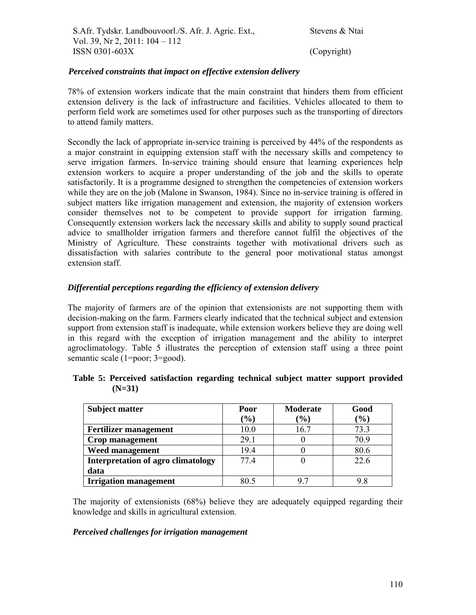### *Perceived constraints that impact on effective extension delivery*

78% of extension workers indicate that the main constraint that hinders them from efficient extension delivery is the lack of infrastructure and facilities. Vehicles allocated to them to perform field work are sometimes used for other purposes such as the transporting of directors to attend family matters.

Secondly the lack of appropriate in-service training is perceived by 44% of the respondents as a major constraint in equipping extension staff with the necessary skills and competency to serve irrigation farmers. In-service training should ensure that learning experiences help extension workers to acquire a proper understanding of the job and the skills to operate satisfactorily. It is a programme designed to strengthen the competencies of extension workers while they are on the job (Malone in Swanson, 1984). Since no in-service training is offered in subject matters like irrigation management and extension, the majority of extension workers consider themselves not to be competent to provide support for irrigation farming. Consequently extension workers lack the necessary skills and ability to supply sound practical advice to smallholder irrigation farmers and therefore cannot fulfil the objectives of the Ministry of Agriculture. These constraints together with motivational drivers such as dissatisfaction with salaries contribute to the general poor motivational status amongst extension staff.

## *Differential perceptions regarding the efficiency of extension delivery*

The majority of farmers are of the opinion that extensionists are not supporting them with decision-making on the farm. Farmers clearly indicated that the technical subject and extension support from extension staff is inadequate, while extension workers believe they are doing well in this regard with the exception of irrigation management and the ability to interpret agroclimatology. Table 5 illustrates the perception of extension staff using a three point semantic scale (1=poor; 3=good).

| <b>Subject matter</b>                     | Poor            | <b>Moderate</b> | Good   |
|-------------------------------------------|-----------------|-----------------|--------|
|                                           | $\mathcal{O}_0$ | $($ % $)$       | $(\%)$ |
| <b>Fertilizer management</b>              | 10.0            | 16.7            | 73.3   |
| Crop management                           | 29.1            |                 | 70.9   |
| <b>Weed management</b>                    | 19.4            |                 | 80.6   |
| <b>Interpretation of agro climatology</b> | 774             |                 | 22.6   |
| data                                      |                 |                 |        |
| <b>Irrigation management</b>              |                 | Q 7             |        |

|          | Table 5: Perceived satisfaction regarding technical subject matter support provided |  |  |  |
|----------|-------------------------------------------------------------------------------------|--|--|--|
| $(N=31)$ |                                                                                     |  |  |  |

The majority of extensionists (68%) believe they are adequately equipped regarding their knowledge and skills in agricultural extension.

### *Perceived challenges for irrigation management*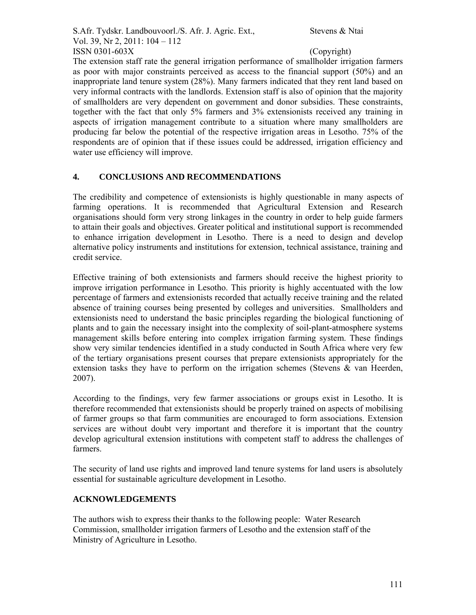S.Afr. Tydskr. Landbouvoorl./S. Afr. J. Agric. Ext., Stevens & Ntai Vol. 39, Nr 2, 2011: 104 – 112  $\text{ISSN } 0301 - 603X$  (Copyright)

The extension staff rate the general irrigation performance of smallholder irrigation farmers as poor with major constraints perceived as access to the financial support (50%) and an inappropriate land tenure system (28%). Many farmers indicated that they rent land based on very informal contracts with the landlords. Extension staff is also of opinion that the majority of smallholders are very dependent on government and donor subsidies. These constraints, together with the fact that only 5% farmers and 3% extensionists received any training in aspects of irrigation management contribute to a situation where many smallholders are producing far below the potential of the respective irrigation areas in Lesotho. 75% of the respondents are of opinion that if these issues could be addressed, irrigation efficiency and water use efficiency will improve.

# **4. CONCLUSIONS AND RECOMMENDATIONS**

The credibility and competence of extensionists is highly questionable in many aspects of farming operations. It is recommended that Agricultural Extension and Research organisations should form very strong linkages in the country in order to help guide farmers to attain their goals and objectives. Greater political and institutional support is recommended to enhance irrigation development in Lesotho. There is a need to design and develop alternative policy instruments and institutions for extension, technical assistance, training and credit service.

Effective training of both extensionists and farmers should receive the highest priority to improve irrigation performance in Lesotho. This priority is highly accentuated with the low percentage of farmers and extensionists recorded that actually receive training and the related absence of training courses being presented by colleges and universities. Smallholders and extensionists need to understand the basic principles regarding the biological functioning of plants and to gain the necessary insight into the complexity of soil-plant-atmosphere systems management skills before entering into complex irrigation farming system. These findings show very similar tendencies identified in a study conducted in South Africa where very few of the tertiary organisations present courses that prepare extensionists appropriately for the extension tasks they have to perform on the irrigation schemes (Stevens & van Heerden, 2007).

According to the findings, very few farmer associations or groups exist in Lesotho. It is therefore recommended that extensionists should be properly trained on aspects of mobilising of farmer groups so that farm communities are encouraged to form associations. Extension services are without doubt very important and therefore it is important that the country develop agricultural extension institutions with competent staff to address the challenges of farmers.

The security of land use rights and improved land tenure systems for land users is absolutely essential for sustainable agriculture development in Lesotho.

# **ACKNOWLEDGEMENTS**

The authors wish to express their thanks to the following people: Water Research Commission, smallholder irrigation farmers of Lesotho and the extension staff of the Ministry of Agriculture in Lesotho.